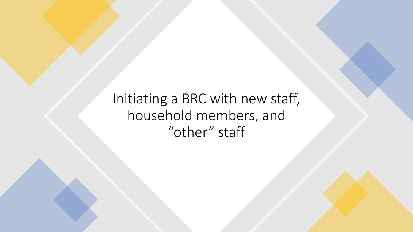Initiating a BRC with new staff, household members, and "other" staff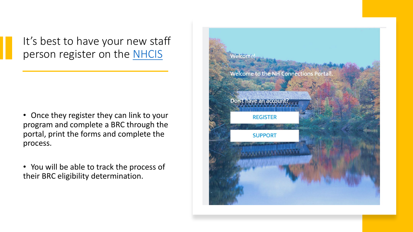It's best to have your new staff person register on the [NHCIS](https://nhpublichealth.force.com/nhccis/s/login/?ec=302&startURL=%2Fnhccis%2Fs%2F)

- Once they register they can link to your program and complete a BRC through the portal, print the forms and complete the process.
- You will be able to track the process of their BRC eligibility determination.

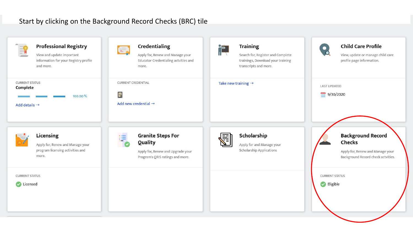## Start by clicking on the Background Record Checks (BRC) tile

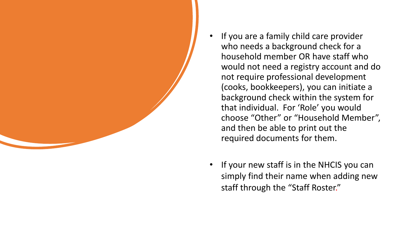

- If you are a family child care provider who needs a background check for a household member OR have staff who would not need a registry account and do not require professional development (cooks, bookkeepers), you can initiate a background check within the system for that individual. For 'Role' you would choose "Other" or "Household Member", and then be able to print out the required documents for them.
- If your new staff is in the NHCIS you can simply find their name when adding new staff through the "Staff Roster."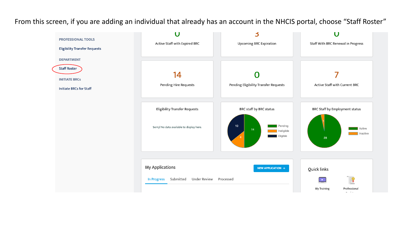From this screen, if you are adding an individual that already has an account in the NHCIS portal, choose "Staff Roster"

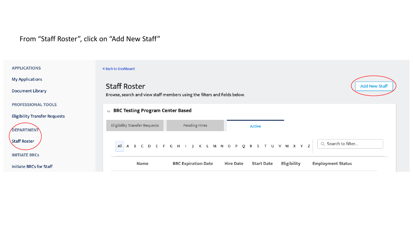## From "Staff Roster", click on "Add New Staff"

## **APPLICATIONS** « Back to Dashboard **My Applications Staff Roster Add New Staff Document Library** Browse, search and view staff members using the filters and fields below. **PROFESSIONAL TOOLS**  $\vee$  BRC Testing Program Center Based **Eligibility Transfer Requests Eligibility Transfer Requests Pending Hires Active** DEPARTMENT Staff Roster A B C D E F G H I J K L M N O P Q R S T U V W X Y Z Q Search to filter... All **INITIATE BRCs BRC Expiration Date Employment Status** Name **Hire Date Start Date** Eligibility Initiate BRCs for Staff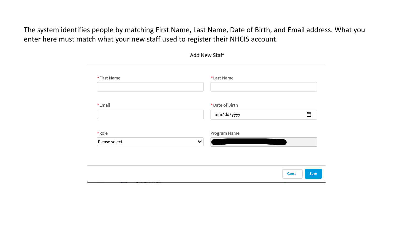The system identifies people by matching First Name, Last Name, Date of Birth, and Email address. What you enter here must match what your new staff used to register their NHCIS account.

| <b>Add New Staff</b>   |                              |        |      |  |  |
|------------------------|------------------------------|--------|------|--|--|
| *First Name            | *Last Name                   |        |      |  |  |
| *Email                 | *Date of Birth<br>mm/dd/yyyy |        | ▭    |  |  |
| *Role<br>Please select | Program Name<br>$\checkmark$ |        |      |  |  |
|                        |                              |        |      |  |  |
|                        |                              | Cancel | Save |  |  |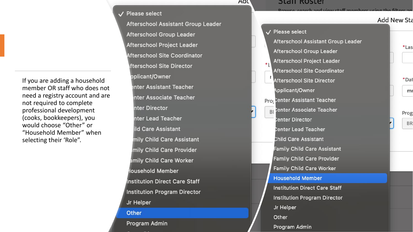If you are adding a household member OR staff who does not need a registry account and are not required to complete professional development (cooks, bookkeepers), you would choose "Other" or "Household Member" when selecting their 'Role".

V Please select Afterschool Assistant Group Leader Afterschool Group Leader Afterschool Project Leader **Afterschool Site Coordinator** fterschool Site Director pplicant/Owner enter Assistant Teacher nter Associate Teacher nter Director nter Lead Teacher ild Care Assistant mily Child Care Assistant mily Child Care Provider amily Child Care Worker lousehold Member **Institution Direct Care Staff Institution Program Director** Jr Helper Other Program Admin

## **SLAIL ROSLEI**

Adu

**Add New Sta** V Please select Afterschool Assistant Group Leader Afterschool Group Leader Afterschool Project Leader **Afterschool Site Coordinator Afterschool Site Director** Applicant/Owner **Pro: Center Assistant Teacher** Center Associate Teacher **BI** Prog enter Director Center Lead Teacher Child Care Assistant **Family Child Care Assistant Family Child Care Provider Family Child Care Worker Household Member Institution Direct Care Staff Institution Program Director** Jr Helper Other Program Admin

\*Las

\*Dat

 $m<sub>i</sub>$ 

**BR**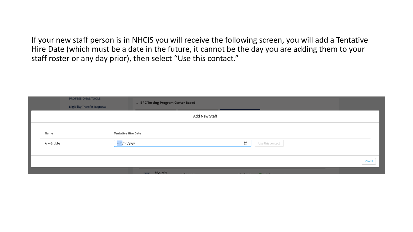If your new staff person is in NHCIS you will receive the following screen, you will add a Tentative Hire Date (which must be a date in the future, it cannot be the day you are adding them to your staff roster or any day prior), then select "Use this contact."

| <b>PROFESSIONAL TOOLS</b><br><b>Eligibility Transfer Requests</b> |                            | $\sim$ BRC Testing Program Center Based      |        |
|-------------------------------------------------------------------|----------------------------|----------------------------------------------|--------|
|                                                                   |                            | Add New Staff                                |        |
|                                                                   |                            |                                              |        |
| Name                                                              | <b>Tentative Hire Date</b> |                                              |        |
| Ally Grubbs                                                       | mm/dd/yyyy                 | $\Box$<br>Use this contact                   |        |
|                                                                   |                            |                                              |        |
|                                                                   |                            |                                              | Cancel |
|                                                                   |                            | <b>Executive</b> Mychelle<br>$1 - 1 - 1 - 1$ |        |